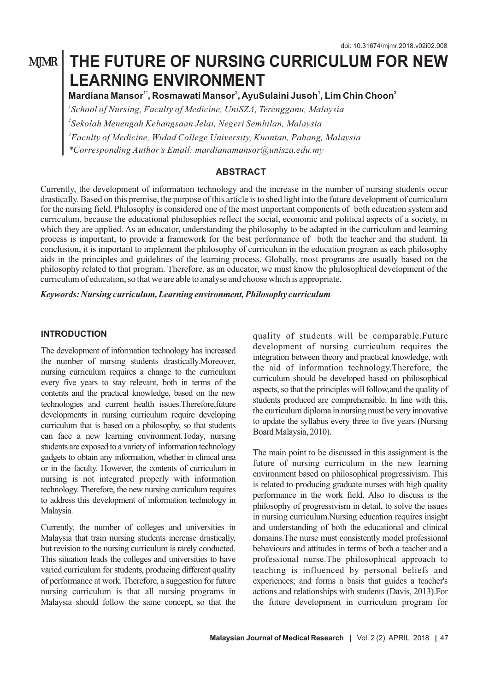# **MJMR**

# **THE FUTURE OF NURSING CURRICULUM FOR NEW LEARNING ENVIRONMENT**

 $M$ ardiana Mansor<sup>1\*</sup>, Rosmawati Mansor<sup>2</sup>, AyuSulaini Jusoh<sup>1</sup>, Lim Chin Choon<sup>2</sup>

*\*Corresponding Author's Email: mardianamansor@unisza.edu.my School of Nursing, Faculty of Medicine, UniSZA, Terengganu, Malaysia Sekolah Menengah Kebangsaan Jelai, Negeri Sembilan, Malaysia Faculty of Medicine, Widad College University, Kuantan, Pahang, Malaysia*

#### **ABSTRACT**

Currently, the development of information technology and the increase in the number of nursing students occur drastically. Based on this premise, the purpose of this article is to shed light into the future development of curriculum for the nursing field. Philosophy is considered one of the most important components of both education system and curriculum, because the educational philosophies reflect the social, economic and political aspects of a society, in which they are applied. As an educator, understanding the philosophy to be adapted in the curriculum and learning process is important, to provide a framework for the best performance of both the teacher and the student. In conclusion, it is important to implement the philosophy of curriculum in the education program as each philosophy aids in the principles and guidelines of the learning process. Globally, most programs are usually based on the philosophy related to that program. Therefore, as an educator, we must know the philosophical development of the curriculum of education, so that we are able to analyse and choose which is appropriate.

*Keywords: Nursing curriculum, Learning environment, Philosophy curriculum* 

#### **INTRODUCTION**

The development of information technology has increased the number of nursing students drastically.Moreover, nursing curriculum requires a change to the curriculum every five years to stay relevant, both in terms of the contents and the practical knowledge, based on the new technologies and current health issues.Therefore,future developments in nursing curriculum require developing curriculum that is based on a philosophy, so that students can face a new learning environment.Today, nursing students are exposed to a variety of information technology gadgets to obtain any information, whether in clinical area or in the faculty. However, the contents of curriculum in nursing is not integrated properly with information technology. Therefore, the new nursing curriculum requires to address this development of information technology in Malaysia.

Currently, the number of colleges and universities in Malaysia that train nursing students increase drastically, but revision to the nursing curriculum is rarely conducted. This situation leads the colleges and universities to have varied curriculum for students, producing different quality of performance at work. Therefore, a suggestion for future nursing curriculum is that all nursing programs in Malaysia should follow the same concept, so that the quality of students will be comparable.Future development of nursing curriculum requires the integration between theory and practical knowledge, with the aid of information technology.Therefore, the curriculum should be developed based on philosophical aspects, so that the principles will follow,and the quality of students produced are comprehensible. In line with this, the curriculum diploma in nursing must be very innovative to update the syllabus every three to five years (Nursing Board Malaysia, 2010).

The main point to be discussed in this assignment is the future of nursing curriculum in the new learning environment based on philosophical progressivism. This is related to producing graduate nurses with high quality performance in the work field. Also to discuss is the philosophy of progressivism in detail, to solve the issues in nursing curriculum.Nursing education requires insight and understanding of both the educational and clinical domains.The nurse must consistently model professional behaviours and attitudes in terms of both a teacher and a professional nurse.The philosophical approach to teaching is influenced by personal beliefs and experiences; and forms a basis that guides a teacher's actions and relationships with students (Davis, 2013).For the future development in curriculum program for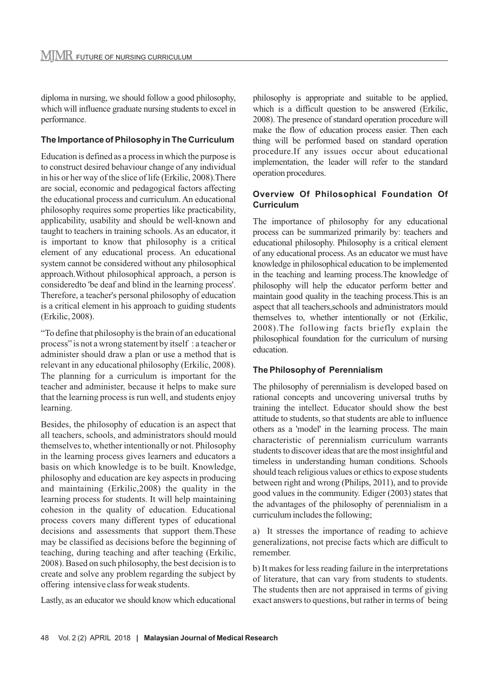diploma in nursing, we should follow a good philosophy, which will influence graduate nursing students to excel in performance.

#### **The Importance of Philosophy in The Curriculum**

Education is defined as a process in which the purpose is to construct desired behaviour change of any individual in his or her way of the slice of life (Erkilic, 2008).There are social, economic and pedagogical factors affecting the educational process and curriculum. An educational philosophy requires some properties like practicability, applicability, usability and should be well-known and taught to teachers in training schools. As an educator, it is important to know that philosophy is a critical element of any educational process. An educational system cannot be considered without any philosophical approach.Without philosophical approach, a person is consideredto 'be deaf and blind in the learning process'. Therefore, a teacher's personal philosophy of education is a critical element in his approach to guiding students (Erkilic, 2008).

"To define that philosophy is the brain of an educational process" is not a wrong statement by itself : a teacher or administer should draw a plan or use a method that is relevant in any educational philosophy (Erkilic, 2008). The planning for a curriculum is important for the teacher and administer, because it helps to make sure that the learning process is run well, and students enjoy learning.

Besides, the philosophy of education is an aspect that all teachers, schools, and administrators should mould themselves to, whether intentionally or not. Philosophy in the learning process gives learners and educators a basis on which knowledge is to be built. Knowledge, philosophy and education are key aspects in producing and maintaining (Erkilic,2008) the quality in the learning process for students. It will help maintaining cohesion in the quality of education. Educational process covers many different types of educational decisions and assessments that support them.These may be classified as decisions before the beginning of teaching, during teaching and after teaching (Erkilic, 2008). Based on such philosophy, the best decision is to create and solve any problem regarding the subject by offering intensive class for weak students.

Lastly, as an educator we should know which educational

philosophy is appropriate and suitable to be applied, which is a difficult question to be answered (Erkilic, 2008). The presence of standard operation procedure will make the flow of education process easier. Then each thing will be performed based on standard operation procedure.If any issues occur about educational implementation, the leader will refer to the standard operation procedures.

#### **Overview Of Philosophical Foundation Of Curriculum**

The importance of philosophy for any educational process can be summarized primarily by: teachers and educational philosophy. Philosophy is a critical element of any educational process. As an educator we must have knowledge in philosophical education to be implemented in the teaching and learning process.The knowledge of philosophy will help the educator perform better and maintain good quality in the teaching process.This is an aspect that all teachers,schools and administrators mould themselves to, whether intentionally or not (Erkilic, 2008).The following facts briefly explain the philosophical foundation for the curriculum of nursing education.

#### **The Philosophy of Perennialism**

The philosophy of perennialism is developed based on rational concepts and uncovering universal truths by training the intellect. Educator should show the best attitude to students, so that students are able to influence others as a 'model' in the learning process. The main characteristic of perennialism curriculum warrants students to discover ideas that are the most insightful and timeless in understanding human conditions. Schools should teach religious values or ethics to expose students between right and wrong (Philips, 2011), and to provide good values in the community. Ediger (2003) states that the advantages of the philosophy of perennialism in a curriculum includes the following;

a) It stresses the importance of reading to achieve generalizations, not precise facts which are difficult to remember.

b) It makes for less reading failure in the interpretations of literature, that can vary from students to students. The students then are not appraised in terms of giving exact answers to questions, but rather in terms of being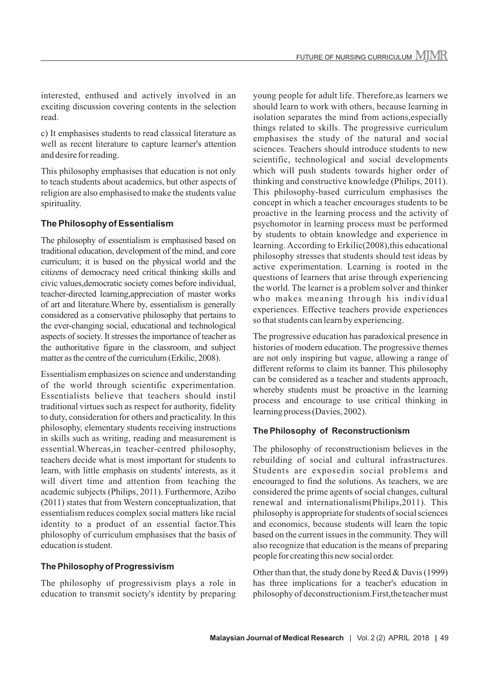interested, enthused and actively involved in an exciting discussion covering contents in the selection read.

c) It emphasises students to read classical literature as well as recent literature to capture learner's attention and desire for reading.

This philosophy emphasises that education is not only to teach students about academics, but other aspects of religion are also emphasised to make the students value spirituality.

## **The Philosophy of Essentialism**

The philosophy of essentialism is emphasised based on traditional education, development of the mind, and core curriculum; it is based on the physical world and the citizens of democracy need critical thinking skills and civic values,democratic society comes before individual, teacher-directed learning,appreciation of master works of art and literature.Where by, essentialism is generally considered as a conservative philosophy that pertains to the ever-changing social, educational and technological aspects of society. It stresses the importance of teacher as the authoritative figure in the classroom, and subject matter as the centre of the curriculum (Erkilic, 2008).

Essentialism emphasizes on science and understanding of the world through scientific experimentation. Essentialists believe that teachers should instil traditional virtues such as respect for authority, fidelity to duty, consideration for others and practicality. In this philosophy, elementary students receiving instructions in skills such as writing, reading and measurement is essential.Whereas,in teacher-centred philosophy, teachers decide what is most important for students to learn, with little emphasis on students' interests, as it will divert time and attention from teaching the academic subjects (Philips, 2011). Furthermore, Azibo (2011) states that from Western conceptualization, that essentialism reduces complex social matters like racial identity to a product of an essential factor.This philosophy of curriculum emphasises that the basis of education is student.

#### **The Philosophy of Progressivism**

The philosophy of progressivism plays a role in education to transmit society's identity by preparing young people for adult life. Therefore,as learners we should learn to work with others, because learning in isolation separates the mind from actions,especially things related to skills. The progressive curriculum emphasises the study of the natural and social sciences. Teachers should introduce students to new scientific, technological and social developments which will push students towards higher order of thinking and constructive knowledge (Philips, 2011). This philosophy-based curriculum emphasises the concept in which a teacher encourages students to be proactive in the learning process and the activity of psychomotor in learning process must be performed by students to obtain knowledge and experience in learning. According to Erkilic(2008),this educational philosophy stresses that students should test ideas by active experimentation. Learning is rooted in the questions of learners that arise through experiencing the world. The learner is a problem solver and thinker who makes meaning through his individual experiences. Effective teachers provide experiences so that students can learn by experiencing.

The progressive education has paradoxical presence in histories of modern education. The progressive themes are not only inspiring but vague, allowing a range of different reforms to claim its banner. This philosophy can be considered as a teacher and students approach, whereby students must be proactive in the learning process and encourage to use critical thinking in learning process (Davies, 2002).

#### **The Philosophy of Reconstructionism**

The philosophy of reconstructionism believes in the rebuilding of social and cultural infrastructures. Students are exposedin social problems and encouraged to find the solutions. As teachers, we are considered the prime agents of social changes, cultural renewal and internationalism(Philips,2011). This philosophy is appropriate for students of social sciences and economics, because students will learn the topic based on the current issues in the community. They will also recognize that education is the means of preparing people for creating this new social order.

Other than that, the study done by Reed & Davis (1999) has three implications for a teacher's education in philosophy of deconstructionism.First,the teacher must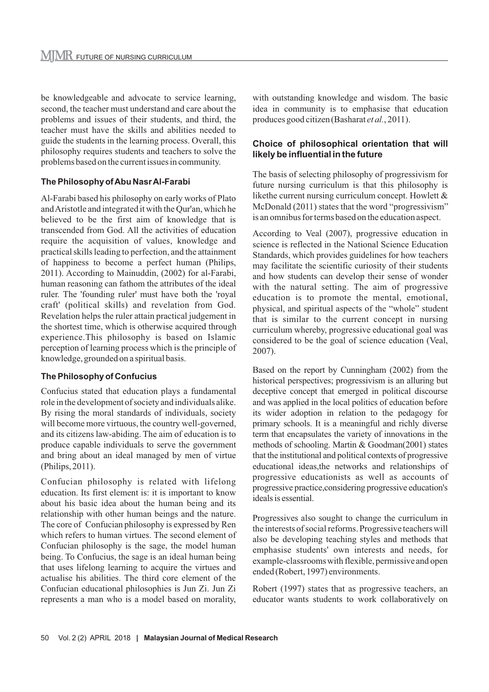be knowledgeable and advocate to service learning, second, the teacher must understand and care about the problems and issues of their students, and third, the teacher must have the skills and abilities needed to guide the students in the learning process. Overall, this philosophy requires students and teachers to solve the problems based on the current issues in community.

#### **The Philosophy of Abu Nasr Al-Farabi**

Al-Farabi based his philosophy on early works of Plato and Aristotle and integrated it with the Qur'an, which he believed to be the first aim of knowledge that is transcended from God. All the activities of education require the acquisition of values, knowledge and practical skills leading to perfection, and the attainment of happiness to become a perfect human (Philips, 2011). According to Mainuddin, (2002) for al-Farabi, human reasoning can fathom the attributes of the ideal ruler. The 'founding ruler' must have both the 'royal craft' (political skills) and revelation from God. Revelation helps the ruler attain practical judgement in the shortest time, which is otherwise acquired through experience.This philosophy is based on Islamic perception of learning process which is the principle of knowledge, grounded on a spiritual basis.

#### **The Philosophy of Confucius**

Confucius stated that education plays a fundamental role in the development of society and individuals alike. By rising the moral standards of individuals, society will become more virtuous, the country well-governed, and its citizens law-abiding. The aim of education is to produce capable individuals to serve the government and bring about an ideal managed by men of virtue (Philips, 2011).

Confucian philosophy is related with lifelong education. Its first element is: it is important to know about his basic idea about the human being and its relationship with other human beings and the nature. The core of Confucian philosophy is expressed by Ren which refers to human virtues. The second element of Confucian philosophy is the sage, the model human being. To Confucius, the sage is an ideal human being that uses lifelong learning to acquire the virtues and actualise his abilities. The third core element of the Confucian educational philosophies is Jun Zi. Jun Zi represents a man who is a model based on morality,

with outstanding knowledge and wisdom. The basic idea in community is to emphasise that education produces good citizen (Basharat *et al.*, 2011).

## **Choice of philosophical orientation that will likely be influential in the future**

The basis of selecting philosophy of progressivism for future nursing curriculum is that this philosophy is likethe current nursing curriculum concept. Howlett & McDonald (2011) states that the word "progressivism" is an omnibus for terms based on the education aspect.

According to Veal (2007), progressive education in science is reflected in the National Science Education Standards, which provides guidelines for how teachers may facilitate the scientific curiosity of their students and how students can develop their sense of wonder with the natural setting. The aim of progressive education is to promote the mental, emotional, physical, and spiritual aspects of the "whole" student that is similar to the current concept in nursing curriculum whereby, progressive educational goal was considered to be the goal of science education (Veal, 2007).

Based on the report by Cunningham (2002) from the historical perspectives; progressivism is an alluring but deceptive concept that emerged in political discourse and was applied in the local politics of education before its wider adoption in relation to the pedagogy for primary schools. It is a meaningful and richly diverse term that encapsulates the variety of innovations in the methods of schooling. Martin & Goodman(2001) states that the institutional and political contexts of progressive educational ideas,the networks and relationships of progressive educationists as well as accounts of progressive practice,considering progressive education's ideals is essential.

Progressives also sought to change the curriculum in the interests of social reforms. Progressive teachers will also be developing teaching styles and methods that emphasise students' own interests and needs, for example-classrooms with flexible, permissive and open ended (Robert, 1997) environments.

Robert (1997) states that as progressive teachers, an educator wants students to work collaboratively on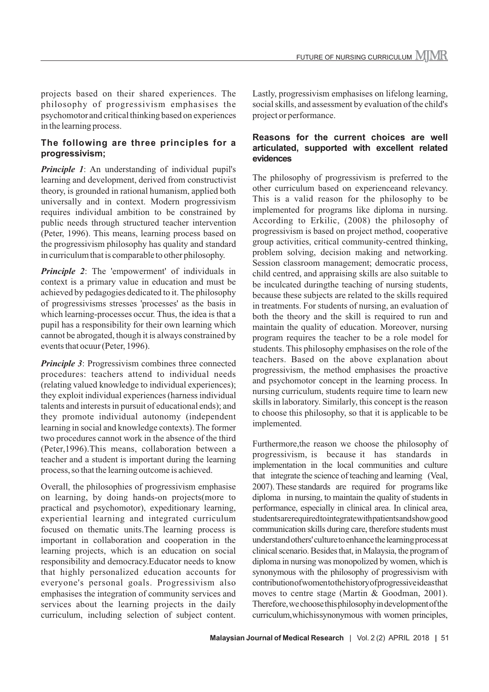projects based on their shared experiences. The philosophy of progressivism emphasises the psychomotor and critical thinking based on experiences in the learning process.

#### **The following are three principles for a progressivism;**

*Principle 1*: An understanding of individual pupil's learning and development, derived from constructivist theory, is grounded in rational humanism, applied both universally and in context. Modern progressivism requires individual ambition to be constrained by public needs through structured teacher intervention (Peter, 1996). This means, learning process based on the progressivism philosophy has quality and standard in curriculum that is comparable to other philosophy.

*Principle 2*: The 'empowerment' of individuals in context is a primary value in education and must be achieved by pedagogies dedicated to it. The philosophy of progressivisms stresses 'processes' as the basis in which learning-processes occur. Thus, the idea is that a pupil has a responsibility for their own learning which cannot be abrogated, though it is always constrained by events that ocuur (Peter, 1996).

*Principle 3*: Progressivism combines three connected procedures: teachers attend to individual needs (relating valued knowledge to individual experiences); they exploit individual experiences (harness individual talents and interests in pursuit of educational ends); and they promote individual autonomy (independent learning in social and knowledge contexts). The former two procedures cannot work in the absence of the third (Peter,1996).This means, collaboration between a teacher and a student is important during the learning process, so that the learning outcome is achieved.

Overall, the philosophies of progressivism emphasise on learning, by doing hands-on projects(more to practical and psychomotor), expeditionary learning, experiential learning and integrated curriculum focused on thematic units.The learning process is important in collaboration and cooperation in the learning projects, which is an education on social responsibility and democracy.Educator needs to know that highly personalized education accounts for everyone's personal goals. Progressivism also emphasises the integration of community services and services about the learning projects in the daily curriculum, including selection of subject content. Lastly, progressivism emphasises on lifelong learning, social skills, and assessment by evaluation of the child's project or performance.

#### **Reasons for the current choices are well articulated, supported with excellent related evidences**

The philosophy of progressivism is preferred to the other curriculum based on experienceand relevancy. This is a valid reason for the philosophy to be implemented for programs like diploma in nursing. According to Erkilic, (2008) the philosophy of progressivism is based on project method, cooperative group activities, critical community-centred thinking, problem solving, decision making and networking. Session classroom management; democratic process, child centred, and appraising skills are also suitable to be inculcated duringthe teaching of nursing students, because these subjects are related to the skills required in treatments. For students of nursing, an evaluation of both the theory and the skill is required to run and maintain the quality of education. Moreover, nursing program requires the teacher to be a role model for students. This philosophy emphasises on the role of the teachers. Based on the above explanation about progressivism, the method emphasises the proactive and psychomotor concept in the learning process. In nursing curriculum, students require time to learn new skills in laboratory. Similarly, this concept is the reason to choose this philosophy, so that it is applicable to be implemented.

Furthermore,the reason we choose the philosophy of progressivism, is because it has standards in implementation in the local communities and culture that integrate the science of teaching and learning (Veal, 2007). These standards are required for programs like diploma in nursing, to maintain the quality of students in performance, especially in clinical area. In clinical area, students are required to integrate with patients and show good communication skills during care, therefore students must understand others' culture to enhance the learning process at clinical scenario. Besides that, in Malaysia, the program of diploma in nursing was monopolized by women, which is synonymous with the philosophy of progressivism with contribution of women to the history of progressive ideas that moves to centre stage (Martin & Goodman, 2001). Therefore, we choose this philosophy in development of the curriculum, which is synonymous with women principles,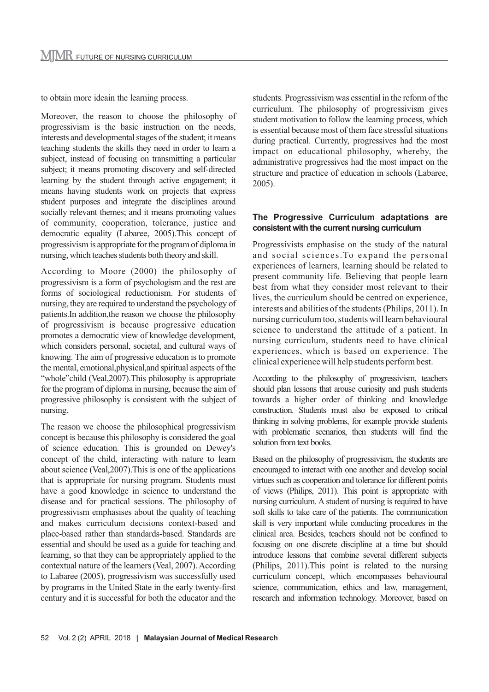to obtain more ideain the learning process.

Moreover, the reason to choose the philosophy of progressivism is the basic instruction on the needs, interests and developmental stages of the student; it means teaching students the skills they need in order to learn a subject, instead of focusing on transmitting a particular subject; it means promoting discovery and self-directed learning by the student through active engagement; it means having students work on projects that express student purposes and integrate the disciplines around socially relevant themes; and it means promoting values of community, cooperation, tolerance, justice and democratic equality (Labaree, 2005).This concept of progressivism is appropriate for the program of diploma in nursing, which teaches students both theory and skill.

According to Moore (2000) the philosophy of progressivism is a form of psychologism and the rest are forms of sociological reductionism. For students of nursing, they are required to understand the psychology of patients.In addition,the reason we choose the philosophy of progressivism is because progressive education promotes a democratic view of knowledge development, which considers personal, societal, and cultural ways of knowing. The aim of progressive education is to promote the mental, emotional,physical,and spiritual aspects of the "whole"child (Veal, 2007). This philosophy is appropriate for the program of diploma in nursing, because the aim of progressive philosophy is consistent with the subject of nursing.

The reason we choose the philosophical progressivism concept is because this philosophy is considered the goal of science education. This is grounded on Dewey's concept of the child, interacting with nature to learn about science (Veal,2007).This is one of the applications that is appropriate for nursing program. Students must have a good knowledge in science to understand the disease and for practical sessions. The philosophy of progressivism emphasises about the quality of teaching and makes curriculum decisions context-based and place-based rather than standards-based. Standards are essential and should be used as a guide for teaching and learning, so that they can be appropriately applied to the contextual nature of the learners (Veal, 2007). According to Labaree (2005), progressivism was successfully used by programs in the United State in the early twenty-first century and it is successful for both the educator and the

students. Progressivism was essential in the reform of the curriculum. The philosophy of progressivism gives student motivation to follow the learning process, which is essential because most of them face stressful situations during practical. Currently, progressives had the most impact on educational philosophy, whereby, the administrative progressives had the most impact on the structure and practice of education in schools (Labaree, 2005).

#### **The Progressive Curriculum adaptations are consistent with the current nursing curriculum**

Progressivists emphasise on the study of the natural and social sciences.To expand the personal experiences of learners, learning should be related to present community life. Believing that people learn best from what they consider most relevant to their lives, the curriculum should be centred on experience, interests and abilities of the students (Philips, 2011). In nursing curriculum too, students will learn behavioural science to understand the attitude of a patient. In nursing curriculum, students need to have clinical experiences, which is based on experience. The clinical experience will help students perform best.

According to the philosophy of progressivism, teachers should plan lessons that arouse curiosity and push students towards a higher order of thinking and knowledge construction. Students must also be exposed to critical thinking in solving problems, for example provide students with problematic scenarios, then students will find the solution from text books.

Based on the philosophy of progressivism, the students are encouraged to interact with one another and develop social virtues such as cooperation and tolerance for different points of views (Philips, 2011). This point is appropriate with nursing curriculum. A student of nursing is required to have soft skills to take care of the patients. The communication skill is very important while conducting procedures in the clinical area. Besides, teachers should not be confined to focusing on one discrete discipline at a time but should introduce lessons that combine several different subjects (Philips, 2011).This point is related to the nursing curriculum concept, which encompasses behavioural science, communication, ethics and law, management, research and information technology. Moreover, based on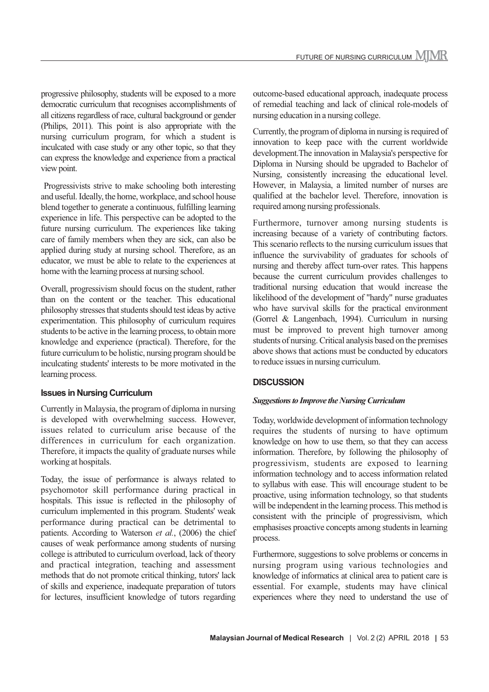progressive philosophy, students will be exposed to a more democratic curriculum that recognises accomplishments of all citizens regardless of race, cultural background or gender (Philips, 2011). This point is also appropriate with the nursing curriculum program, for which a student is inculcated with case study or any other topic, so that they can express the knowledge and experience from a practical view point.

 Progressivists strive to make schooling both interesting and useful. Ideally, the home, workplace, and school house blend together to generate a continuous, fulfilling learning experience in life. This perspective can be adopted to the future nursing curriculum. The experiences like taking care of family members when they are sick, can also be applied during study at nursing school. Therefore, as an educator, we must be able to relate to the experiences at home with the learning process at nursing school.

Overall, progressivism should focus on the student, rather than on the content or the teacher. This educational philosophy stresses that students should test ideas by active experimentation. This philosophy of curriculum requires students to be active in the learning process, to obtain more knowledge and experience (practical). Therefore, for the future curriculum to be holistic, nursing program should be inculcating students' interests to be more motivated in the learning process.

#### **Issues in Nursing Curriculum**

Currently in Malaysia, the program of diploma in nursing is developed with overwhelming success. However, issues related to curriculum arise because of the differences in curriculum for each organization. Therefore, it impacts the quality of graduate nurses while working at hospitals.

Today, the issue of performance is always related to psychomotor skill performance during practical in hospitals. This issue is reflected in the philosophy of curriculum implemented in this program. Students' weak performance during practical can be detrimental to patients. According to Waterson *et al.*, (2006) the chief causes of weak performance among students of nursing college is attributed to curriculum overload, lack of theory and practical integration, teaching and assessment methods that do not promote critical thinking, tutors' lack of skills and experience, inadequate preparation of tutors for lectures, insufficient knowledge of tutors regarding

outcome-based educational approach, inadequate process of remedial teaching and lack of clinical role-models of nursing education in a nursing college.

Currently, the program of diploma in nursing is required of innovation to keep pace with the current worldwide development.The innovation in Malaysia's perspective for Diploma in Nursing should be upgraded to Bachelor of Nursing, consistently increasing the educational level. However, in Malaysia, a limited number of nurses are qualified at the bachelor level. Therefore, innovation is required among nursing professionals.

Furthermore, turnover among nursing students is increasing because of a variety of contributing factors. This scenario reflects to the nursing curriculum issues that influence the survivability of graduates for schools of nursing and thereby affect turn-over rates. This happens because the current curriculum provides challenges to traditional nursing education that would increase the likelihood of the development of "hardy" nurse graduates who have survival skills for the practical environment (Gorrel & Langenbach, 1994). Curriculum in nursing must be improved to prevent high turnover among students of nursing. Critical analysis based on the premises above shows that actions must be conducted by educators to reduce issues in nursing curriculum.

#### **DISCUSSION**

#### *Suggestions to Improve the Nursing Curriculum*

Today, worldwide development of information technology requires the students of nursing to have optimum knowledge on how to use them, so that they can access information. Therefore, by following the philosophy of progressivism, students are exposed to learning information technology and to access information related to syllabus with ease. This will encourage student to be proactive, using information technology, so that students will be independent in the learning process. This method is consistent with the principle of progressivism, which emphasises proactive concepts among students in learning process.

Furthermore, suggestions to solve problems or concerns in nursing program using various technologies and knowledge of informatics at clinical area to patient care is essential. For example, students may have clinical experiences where they need to understand the use of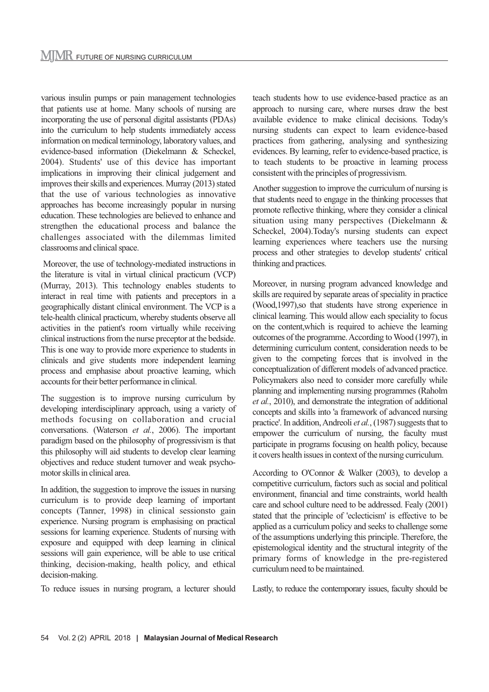various insulin pumps or pain management technologies that patients use at home. Many schools of nursing are incorporating the use of personal digital assistants (PDAs) into the curriculum to help students immediately access information on medical terminology, laboratory values, and evidence-based information (Diekelmann & Scheckel, 2004). Students' use of this device has important implications in improving their clinical judgement and improves their skills and experiences. Murray (2013) stated that the use of various technologies as innovative approaches has become increasingly popular in nursing education. These technologies are believed to enhance and strengthen the educational process and balance the challenges associated with the dilemmas limited classrooms and clinical space.

 Moreover, the use of technology-mediated instructions in the literature is vital in virtual clinical practicum (VCP) (Murray, 2013). This technology enables students to interact in real time with patients and preceptors in a geographically distant clinical environment. The VCP is a tele-health clinical practicum, whereby students observe all activities in the patient's room virtually while receiving clinical instructions from the nurse preceptor at the bedside. This is one way to provide more experience to students in clinicals and give students more independent learning process and emphasise about proactive learning, which accounts for their better performance in clinical.

The suggestion is to improve nursing curriculum by developing interdisciplinary approach, using a variety of methods focusing on collaboration and crucial conversations. (Waterson *et al.*, 2006). The important paradigm based on the philosophy of progressivism is that this philosophy will aid students to develop clear learning objectives and reduce student turnover and weak psychomotor skills in clinical area.

In addition, the suggestion to improve the issues in nursing curriculum is to provide deep learning of important concepts (Tanner, 1998) in clinical sessionsto gain experience. Nursing program is emphasising on practical sessions for learning experience. Students of nursing with exposure and equipped with deep learning in clinical sessions will gain experience, will be able to use critical thinking, decision-making, health policy, and ethical decision-making.

To reduce issues in nursing program, a lecturer should

teach students how to use evidence-based practice as an approach to nursing care, where nurses draw the best available evidence to make clinical decisions. Today's nursing students can expect to learn evidence-based practices from gathering, analysing and synthesizing evidences. By learning, refer to evidence-based practice, is to teach students to be proactive in learning process consistent with the principles of progressivism.

Another suggestion to improve the curriculum of nursing is that students need to engage in the thinking processes that promote reflective thinking, where they consider a clinical situation using many perspectives (Diekelmann & Scheckel, 2004).Today's nursing students can expect learning experiences where teachers use the nursing process and other strategies to develop students' critical thinking and practices.

Moreover, in nursing program advanced knowledge and skills are required by separate areas of speciality in practice (Wood,1997),so that students have strong experience in clinical learning. This would allow each speciality to focus on the content,which is required to achieve the learning outcomes of the programme. According to Wood (1997), in determining curriculum content, consideration needs to be given to the competing forces that is involved in the conceptualization of different models of advanced practice. Policymakers also need to consider more carefully while planning and implementing nursing programmes (Raholm *et al.*, 2010), and demonstrate the integration of additional concepts and skills into 'a framework of advanced nursing practice'. In addition, Andreoli *et al.*, (1987) suggests that to empower the curriculum of nursing, the faculty must participate in programs focusing on health policy, because it covers health issues in context of the nursing curriculum.

According to O'Connor & Walker (2003), to develop a competitive curriculum, factors such as social and political environment, financial and time constraints, world health care and school culture need to be addressed. Fealy (2001) stated that the principle of 'eclecticism' is effective to be applied as a curriculum policy and seeks to challenge some of the assumptions underlying this principle. Therefore, the epistemological identity and the structural integrity of the primary forms of knowledge in the pre-registered curriculum need to be maintained.

Lastly, to reduce the contemporary issues, faculty should be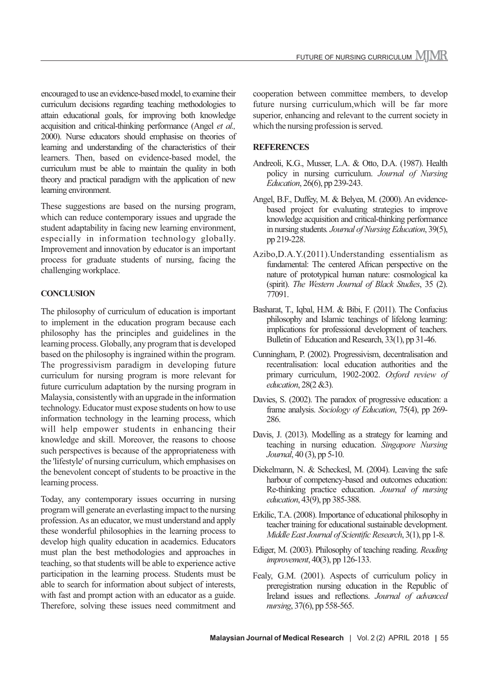encouraged to use an evidence-based model, to examine their curriculum decisions regarding teaching methodologies to attain educational goals, for improving both knowledge acquisition and critical-thinking performance (Angel *et al.,* 2000). Nurse educators should emphasise on theories of learning and understanding of the characteristics of their learners. Then, based on evidence-based model, the curriculum must be able to maintain the quality in both theory and practical paradigm with the application of new learning environment.

These suggestions are based on the nursing program, which can reduce contemporary issues and upgrade the student adaptability in facing new learning environment, especially in information technology globally. Improvement and innovation by educator is an important process for graduate students of nursing, facing the challenging workplace.

#### **CONCLUSION**

The philosophy of curriculum of education is important to implement in the education program because each philosophy has the principles and guidelines in the learning process. Globally, any program that is developed based on the philosophy is ingrained within the program. The progressivism paradigm in developing future curriculum for nursing program is more relevant for future curriculum adaptation by the nursing program in Malaysia, consistently with an upgrade in the information technology. Educator must expose students on how to use information technology in the learning process, which will help empower students in enhancing their knowledge and skill. Moreover, the reasons to choose such perspectives is because of the appropriateness with the 'lifestyle' of nursing curriculum, which emphasises on the benevolent concept of students to be proactive in the learning process.

Today, any contemporary issues occurring in nursing program will generate an everlasting impact to the nursing profession. As an educator, we must understand and apply these wonderful philosophies in the learning process to develop high quality education in academics. Educators must plan the best methodologies and approaches in teaching, so that students will be able to experience active participation in the learning process. Students must be able to search for information about subject of interests, with fast and prompt action with an educator as a guide. Therefore, solving these issues need commitment and

cooperation between committee members, to develop future nursing curriculum,which will be far more superior, enhancing and relevant to the current society in which the nursing profession is served.

#### **REFERENCES**

- Andreoli, K.G., Musser, L.A. & Otto, D.A. (1987). Health policy in nursing curriculum. *Journal of Nursing Education*, 26(6), pp 239-243.
- Angel, B.F., Duffey, M. & Belyea, M. (2000). An evidencebased project for evaluating strategies to improve knowledge acquisition and critical-thinking performance in nursing students*. Journal of Nursing Education*, 39(5), pp 219-228.
- Azibo,D.A.Y.(2011).Understanding essentialism as fundamental: The centered African perspective on the nature of prototypical human nature: cosmological ka (spirit). *The Western Journal of Black Studies*, 35 (2). 77091.
- Basharat, T., Iqbal, H.M. & Bibi, F. (2011). The Confucius philosophy and Islamic teachings of lifelong learning: implications for professional development of teachers. Bulletin of Education and Research, 33(1), pp 31-46.
- Cunningham, P. (2002). Progressivism, decentralisation and recentralisation: local education authorities and the primary curriculum, 1902-2002. *Oxford review of education*, 28(2 &3).
- Davies, S. (2002). The paradox of progressive education: a frame analysis. *Sociology of Education*, 75(4), pp 269- 286.
- Davis, J. (2013). Modelling as a strategy for learning and teaching in nursing education. *Singapore Nursing Journal*, 40 (3), pp 5-10.
- Diekelmann, N. & Scheckesl, M. (2004). Leaving the safe harbour of competency-based and outcomes education: Re-thinking practice education. *Journal of nursing education*, 43(9), pp 385-388.
- Erkilic, T.A. (2008). Importance of educational philosophy in teacher training for educational sustainable development. *Middle East Journal of Scientific Research*, 3(1), pp 1-8.
- Ediger, M. (2003). Philosophy of teaching reading. *Reading improvement*, 40(3), pp 126-133.
- Fealy, G.M. (2001). Aspects of curriculum policy in preregistration nursing education in the Republic of Ireland issues and reflections. *Journal of advanced nursing*, 37(6), pp 558-565.